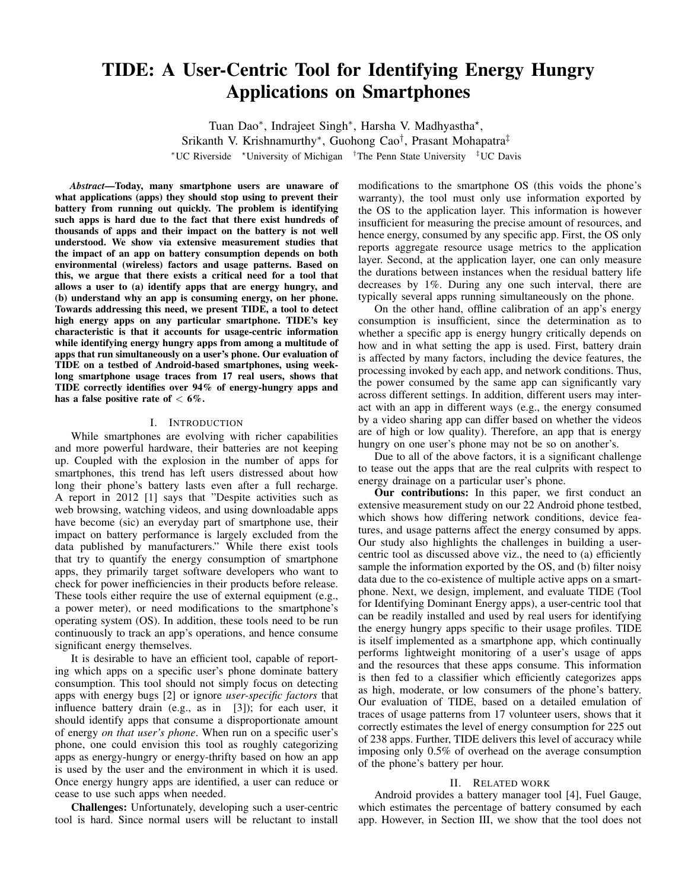# TIDE: A User-Centric Tool for Identifying Energy Hungry Applications on Smartphones

Tuan Dao<sup>\*</sup>, Indrajeet Singh<sup>\*</sup>, Harsha V. Madhyastha<sup>\*</sup>, Srikanth V. Krishnamurthy<sup>\*</sup>, Guohong Cao<sup>†</sup>, Prasant Mohapatra<sup>‡</sup> ⇤UC Riverside ?University of Michigan *†*The Penn State University *‡*UC Davis

*Abstract*—Today, many smartphone users are unaware of what applications (apps) they should stop using to prevent their battery from running out quickly. The problem is identifying such apps is hard due to the fact that there exist hundreds of thousands of apps and their impact on the battery is not well understood. We show via extensive measurement studies that the impact of an app on battery consumption depends on both environmental (wireless) factors and usage patterns. Based on this, we argue that there exists a critical need for a tool that allows a user to (a) identify apps that are energy hungry, and (b) understand why an app is consuming energy, on her phone. Towards addressing this need, we present TIDE, a tool to detect high energy apps on any particular smartphone. TIDE's key characteristic is that it accounts for usage-centric information while identifying energy hungry apps from among a multitude of apps that run simultaneously on a user's phone. Our evaluation of TIDE on a testbed of Android-based smartphones, using weeklong smartphone usage traces from 17 real users, shows that TIDE correctly identifies over 94% of energy-hungry apps and has a false positive rate of *<* 6%.

## I. INTRODUCTION

While smartphones are evolving with richer capabilities and more powerful hardware, their batteries are not keeping up. Coupled with the explosion in the number of apps for smartphones, this trend has left users distressed about how long their phone's battery lasts even after a full recharge. A report in 2012 [1] says that "Despite activities such as web browsing, watching videos, and using downloadable apps have become (sic) an everyday part of smartphone use, their impact on battery performance is largely excluded from the data published by manufacturers." While there exist tools that try to quantify the energy consumption of smartphone apps, they primarily target software developers who want to check for power inefficiencies in their products before release. These tools either require the use of external equipment (e.g., a power meter), or need modifications to the smartphone's operating system (OS). In addition, these tools need to be run continuously to track an app's operations, and hence consume significant energy themselves.

It is desirable to have an efficient tool, capable of reporting which apps on a specific user's phone dominate battery consumption. This tool should not simply focus on detecting apps with energy bugs [2] or ignore *user-specific factors* that influence battery drain (e.g., as in [3]); for each user, it should identify apps that consume a disproportionate amount of energy *on that user's phone*. When run on a specific user's phone, one could envision this tool as roughly categorizing apps as energy-hungry or energy-thrifty based on how an app is used by the user and the environment in which it is used. Once energy hungry apps are identified, a user can reduce or cease to use such apps when needed.

Challenges: Unfortunately, developing such a user-centric tool is hard. Since normal users will be reluctant to install modifications to the smartphone OS (this voids the phone's warranty), the tool must only use information exported by the OS to the application layer. This information is however insufficient for measuring the precise amount of resources, and hence energy, consumed by any specific app. First, the OS only reports aggregate resource usage metrics to the application layer. Second, at the application layer, one can only measure the durations between instances when the residual battery life decreases by 1%. During any one such interval, there are typically several apps running simultaneously on the phone.

On the other hand, offline calibration of an app's energy consumption is insufficient, since the determination as to whether a specific app is energy hungry critically depends on how and in what setting the app is used. First, battery drain is affected by many factors, including the device features, the processing invoked by each app, and network conditions. Thus, the power consumed by the same app can significantly vary across different settings. In addition, different users may interact with an app in different ways (e.g., the energy consumed by a video sharing app can differ based on whether the videos are of high or low quality). Therefore, an app that is energy hungry on one user's phone may not be so on another's.

Due to all of the above factors, it is a significant challenge to tease out the apps that are the real culprits with respect to energy drainage on a particular user's phone.

Our contributions: In this paper, we first conduct an extensive measurement study on our 22 Android phone testbed, which shows how differing network conditions, device features, and usage patterns affect the energy consumed by apps. Our study also highlights the challenges in building a usercentric tool as discussed above viz., the need to (a) efficiently sample the information exported by the OS, and (b) filter noisy data due to the co-existence of multiple active apps on a smartphone. Next, we design, implement, and evaluate TIDE (Tool for Identifying Dominant Energy apps), a user-centric tool that can be readily installed and used by real users for identifying the energy hungry apps specific to their usage profiles. TIDE is itself implemented as a smartphone app, which continually performs lightweight monitoring of a user's usage of apps and the resources that these apps consume. This information is then fed to a classifier which efficiently categorizes apps as high, moderate, or low consumers of the phone's battery. Our evaluation of TIDE, based on a detailed emulation of traces of usage patterns from 17 volunteer users, shows that it correctly estimates the level of energy consumption for 225 out of 238 apps. Further, TIDE delivers this level of accuracy while imposing only 0.5% of overhead on the average consumption of the phone's battery per hour.

## II. RELATED WORK

Android provides a battery manager tool [4], Fuel Gauge, which estimates the percentage of battery consumed by each app. However, in Section III, we show that the tool does not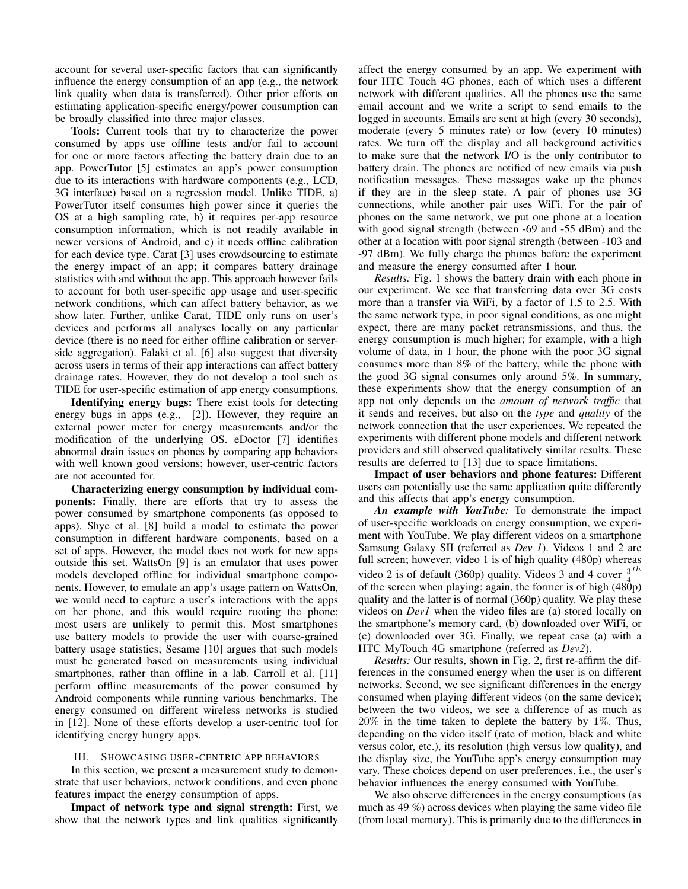account for several user-specific factors that can significantly influence the energy consumption of an app (e.g., the network link quality when data is transferred). Other prior efforts on estimating application-specific energy/power consumption can be broadly classified into three major classes.

Tools: Current tools that try to characterize the power consumed by apps use offline tests and/or fail to account for one or more factors affecting the battery drain due to an app. PowerTutor [5] estimates an app's power consumption due to its interactions with hardware components (e.g., LCD, 3G interface) based on a regression model. Unlike TIDE, a) PowerTutor itself consumes high power since it queries the OS at a high sampling rate, b) it requires per-app resource consumption information, which is not readily available in newer versions of Android, and c) it needs offline calibration for each device type. Carat [3] uses crowdsourcing to estimate the energy impact of an app; it compares battery drainage statistics with and without the app. This approach however fails to account for both user-specific app usage and user-specific network conditions, which can affect battery behavior, as we show later. Further, unlike Carat, TIDE only runs on user's devices and performs all analyses locally on any particular device (there is no need for either offline calibration or serverside aggregation). Falaki et al. [6] also suggest that diversity across users in terms of their app interactions can affect battery drainage rates. However, they do not develop a tool such as TIDE for user-specific estimation of app energy consumptions.

Identifying energy bugs: There exist tools for detecting energy bugs in apps (e.g., [2]). However, they require an external power meter for energy measurements and/or the modification of the underlying OS. eDoctor [7] identifies abnormal drain issues on phones by comparing app behaviors with well known good versions; however, user-centric factors are not accounted for.

Characterizing energy consumption by individual components: Finally, there are efforts that try to assess the power consumed by smartphone components (as opposed to apps). Shye et al. [8] build a model to estimate the power consumption in different hardware components, based on a set of apps. However, the model does not work for new apps outside this set. WattsOn [9] is an emulator that uses power models developed offline for individual smartphone components. However, to emulate an app's usage pattern on WattsOn, we would need to capture a user's interactions with the apps on her phone, and this would require rooting the phone; most users are unlikely to permit this. Most smartphones use battery models to provide the user with coarse-grained battery usage statistics; Sesame [10] argues that such models must be generated based on measurements using individual smartphones, rather than offline in a lab. Carroll et al. [11] perform offline measurements of the power consumed by Android components while running various benchmarks. The energy consumed on different wireless networks is studied in [12]. None of these efforts develop a user-centric tool for identifying energy hungry apps.

## III. SHOWCASING USER-CENTRIC APP BEHAVIORS

In this section, we present a measurement study to demonstrate that user behaviors, network conditions, and even phone features impact the energy consumption of apps.

Impact of network type and signal strength: First, we show that the network types and link qualities significantly affect the energy consumed by an app. We experiment with four HTC Touch 4G phones, each of which uses a different network with different qualities. All the phones use the same email account and we write a script to send emails to the logged in accounts. Emails are sent at high (every 30 seconds), moderate (every 5 minutes rate) or low (every 10 minutes) rates. We turn off the display and all background activities to make sure that the network I/O is the only contributor to battery drain. The phones are notified of new emails via push notification messages. These messages wake up the phones if they are in the sleep state. A pair of phones use 3G connections, while another pair uses WiFi. For the pair of phones on the same network, we put one phone at a location with good signal strength (between -69 and -55 dBm) and the other at a location with poor signal strength (between -103 and -97 dBm). We fully charge the phones before the experiment and measure the energy consumed after 1 hour.

*Results:* Fig. 1 shows the battery drain with each phone in our experiment. We see that transferring data over 3G costs more than a transfer via WiFi, by a factor of 1.5 to 2.5. With the same network type, in poor signal conditions, as one might expect, there are many packet retransmissions, and thus, the energy consumption is much higher; for example, with a high volume of data, in 1 hour, the phone with the poor 3G signal consumes more than 8% of the battery, while the phone with the good 3G signal consumes only around 5%. In summary, these experiments show that the energy consumption of an app not only depends on the *amount of network traffic* that it sends and receives, but also on the *type* and *quality* of the network connection that the user experiences. We repeated the experiments with different phone models and different network providers and still observed qualitatively similar results. These results are deferred to [13] due to space limitations.

Impact of user behaviors and phone features: Different users can potentially use the same application quite differently and this affects that app's energy consumption.

*An example with YouTube:* To demonstrate the impact of user-specific workloads on energy consumption, we experiment with YouTube. We play different videos on a smartphone Samsung Galaxy SII (referred as *Dev 1*). Videos 1 and 2 are full screen; however, video 1 is of high quality (480p) whereas video 2 is of default (360p) quality. Videos 3 and 4 cover  $\frac{3}{4}$ *th* of the screen when playing; again, the former is of high  $(480p)$ quality and the latter is of normal (360p) quality. We play these videos on *Dev1* when the video files are (a) stored locally on the smartphone's memory card, (b) downloaded over WiFi, or (c) downloaded over 3G. Finally, we repeat case (a) with a HTC MyTouch 4G smartphone (referred as *Dev2*).

*Results:* Our results, shown in Fig. 2, first re-affirm the differences in the consumed energy when the user is on different networks. Second, we see significant differences in the energy consumed when playing different videos (on the same device); between the two videos, we see a difference of as much as  $20\%$  in the time taken to deplete the battery by 1%. Thus, depending on the video itself (rate of motion, black and white versus color, etc.), its resolution (high versus low quality), and the display size, the YouTube app's energy consumption may vary. These choices depend on user preferences, i.e., the user's behavior influences the energy consumed with YouTube.

We also observe differences in the energy consumptions (as much as 49 %) across devices when playing the same video file (from local memory). This is primarily due to the differences in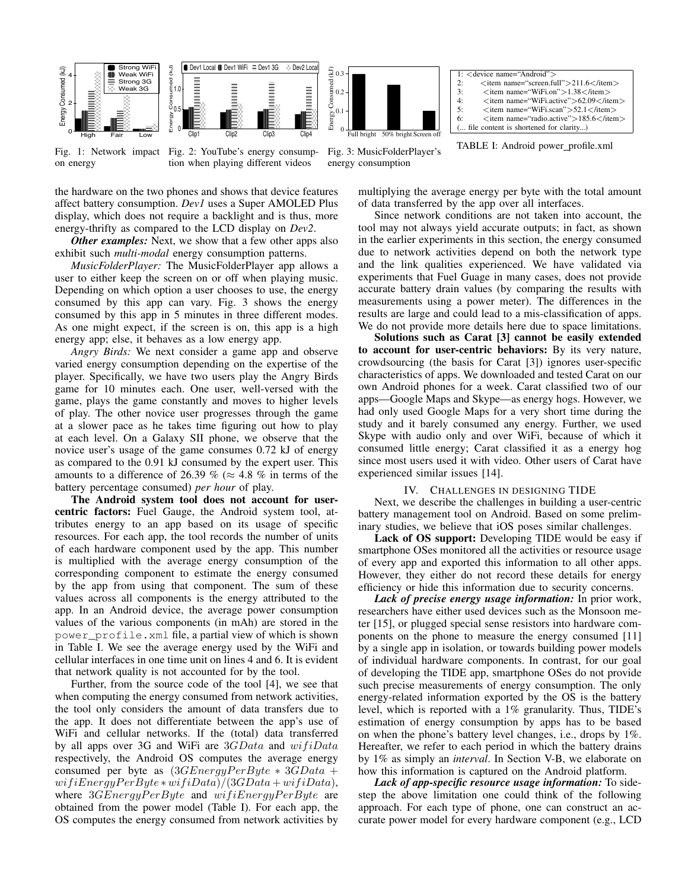

Fig. 1: Network impact Fig. 2: YouTube's energy consumpon energy tion when playing different videos

the hardware on the two phones and shows that device features affect battery consumption. *Dev1* uses a Super AMOLED Plus display, which does not require a backlight and is thus, more energy-thrifty as compared to the LCD display on *Dev2*.

*Other examples:* Next, we show that a few other apps also exhibit such *multi-modal* energy consumption patterns.

*MusicFolderPlayer:* The MusicFolderPlayer app allows a user to either keep the screen on or off when playing music. Depending on which option a user chooses to use, the energy consumed by this app can vary. Fig. 3 shows the energy consumed by this app in 5 minutes in three different modes. As one might expect, if the screen is on, this app is a high energy app; else, it behaves as a low energy app.

*Angry Birds:* We next consider a game app and observe varied energy consumption depending on the expertise of the player. Specifically, we have two users play the Angry Birds game for 10 minutes each. One user, well-versed with the game, plays the game constantly and moves to higher levels of play. The other novice user progresses through the game at a slower pace as he takes time figuring out how to play at each level. On a Galaxy SII phone, we observe that the novice user's usage of the game consumes 0.72 kJ of energy as compared to the 0.91 kJ consumed by the expert user. This amounts to a difference of 26.39 % ( $\approx$  4.8 % in terms of the battery percentage consumed) *per hour* of play.

The Android system tool does not account for usercentric factors: Fuel Gauge, the Android system tool, attributes energy to an app based on its usage of specific resources. For each app, the tool records the number of units of each hardware component used by the app. This number is multiplied with the average energy consumption of the corresponding component to estimate the energy consumed by the app from using that component. The sum of these values across all components is the energy attributed to the app. In an Android device, the average power consumption values of the various components (in mAh) are stored in the power\_profile.xml file, a partial view of which is shown in Table I. We see the average energy used by the WiFi and cellular interfaces in one time unit on lines 4 and 6. It is evident that network quality is not accounted for by the tool.

Further, from the source code of the tool [4], we see that when computing the energy consumed from network activities, the tool only considers the amount of data transfers due to the app. It does not differentiate between the app's use of WiFi and cellular networks. If the (total) data transferred by all apps over 3G and WiFi are 3*GData* and *wif iData* respectively, the Android OS computes the average energy consumed per byte as  $(3GEnergyPerByte * 3GData +$  $wif iEnergyPerByte * wif iData$  $/(3GData + wifiData),$ where 3*GEnergyPerByte* and *wifiEnergyPerByte* are obtained from the power model (Table I). For each app, the OS computes the energy consumed from network activities by



TABLE I: Android power profile.xml

Fig. 3: MusicFolderPlayer's energy consumption

> multiplying the average energy per byte with the total amount of data transferred by the app over all interfaces.

> Since network conditions are not taken into account, the tool may not always yield accurate outputs; in fact, as shown in the earlier experiments in this section, the energy consumed due to network activities depend on both the network type and the link qualities experienced. We have validated via experiments that Fuel Guage in many cases, does not provide accurate battery drain values (by comparing the results with measurements using a power meter). The differences in the results are large and could lead to a mis-classification of apps. We do not provide more details here due to space limitations.

> Solutions such as Carat [3] cannot be easily extended to account for user-centric behaviors: By its very nature, crowdsourcing (the basis for Carat [3]) ignores user-specific characteristics of apps. We downloaded and tested Carat on our own Android phones for a week. Carat classified two of our apps—Google Maps and Skype—as energy hogs. However, we had only used Google Maps for a very short time during the study and it barely consumed any energy. Further, we used Skype with audio only and over WiFi, because of which it consumed little energy; Carat classified it as a energy hog since most users used it with video. Other users of Carat have experienced similar issues [14].

## IV. CHALLENGES IN DESIGNING TIDE

Next, we describe the challenges in building a user-centric battery management tool on Android. Based on some preliminary studies, we believe that iOS poses similar challenges.

Lack of OS support: Developing TIDE would be easy if smartphone OSes monitored all the activities or resource usage of every app and exported this information to all other apps. However, they either do not record these details for energy efficiency or hide this information due to security concerns.

*Lack of precise energy usage information:* In prior work, researchers have either used devices such as the Monsoon meter [15], or plugged special sense resistors into hardware components on the phone to measure the energy consumed [11] by a single app in isolation, or towards building power models of individual hardware components. In contrast, for our goal of developing the TIDE app, smartphone OSes do not provide such precise measurements of energy consumption. The only energy-related information exported by the OS is the battery level, which is reported with a 1% granularity. Thus, TIDE's estimation of energy consumption by apps has to be based on when the phone's battery level changes, i.e., drops by 1%. Hereafter, we refer to each period in which the battery drains by 1% as simply an *interval*. In Section V-B, we elaborate on how this information is captured on the Android platform.

*Lack of app-specific resource usage information:* To sidestep the above limitation one could think of the following approach. For each type of phone, one can construct an accurate power model for every hardware component (e.g., LCD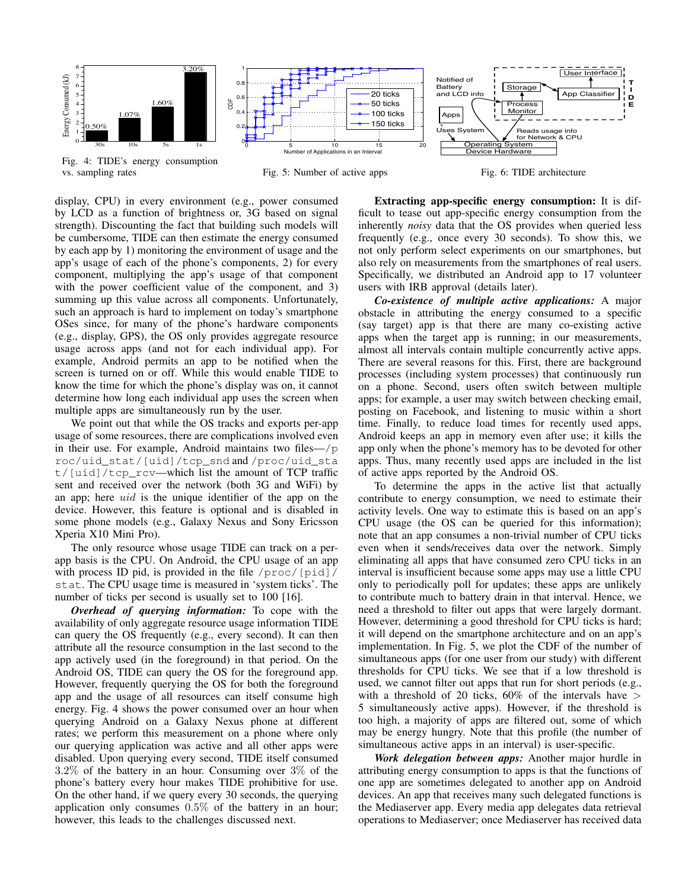

Fig. 4: TIDE's energy consumption vs. sampling rates

Fig. 5: Number of active apps

Fig. 6: TIDE architecture

display, CPU) in every environment (e.g., power consumed by LCD as a function of brightness or, 3G based on signal strength). Discounting the fact that building such models will be cumbersome, TIDE can then estimate the energy consumed by each app by 1) monitoring the environment of usage and the app's usage of each of the phone's components, 2) for every component, multiplying the app's usage of that component with the power coefficient value of the component, and 3) summing up this value across all components. Unfortunately, such an approach is hard to implement on today's smartphone OSes since, for many of the phone's hardware components (e.g., display, GPS), the OS only provides aggregate resource usage across apps (and not for each individual app). For example, Android permits an app to be notified when the screen is turned on or off. While this would enable TIDE to know the time for which the phone's display was on, it cannot determine how long each individual app uses the screen when multiple apps are simultaneously run by the user.

We point out that while the OS tracks and exports per-app usage of some resources, there are complications involved even in their use. For example, Android maintains two files—/p roc/uid\_stat/[uid]/tcp\_snd and /proc/uid\_sta  $t/[uid]/top\_rcv$ —which list the amount of TCP traffic sent and received over the network (both 3G and WiFi) by an app; here *uid* is the unique identifier of the app on the device. However, this feature is optional and is disabled in some phone models (e.g., Galaxy Nexus and Sony Ericsson Xperia X10 Mini Pro).

The only resource whose usage TIDE can track on a perapp basis is the CPU. On Android, the CPU usage of an app with process ID pid, is provided in the file /proc/[pid]/ stat. The CPU usage time is measured in 'system ticks'. The number of ticks per second is usually set to 100 [16].

*Overhead of querying information:* To cope with the availability of only aggregate resource usage information TIDE can query the OS frequently (e.g., every second). It can then attribute all the resource consumption in the last second to the app actively used (in the foreground) in that period. On the Android OS, TIDE can query the OS for the foreground app. However, frequently querying the OS for both the foreground app and the usage of all resources can itself consume high energy. Fig. 4 shows the power consumed over an hour when querying Android on a Galaxy Nexus phone at different rates; we perform this measurement on a phone where only our querying application was active and all other apps were disabled. Upon querying every second, TIDE itself consumed 3*.*2% of the battery in an hour. Consuming over 3% of the phone's battery every hour makes TIDE prohibitive for use. On the other hand, if we query every 30 seconds, the querying application only consumes 0*.*5% of the battery in an hour; however, this leads to the challenges discussed next.

Extracting app-specific energy consumption: It is difficult to tease out app-specific energy consumption from the inherently *noisy* data that the OS provides when queried less frequently (e.g., once every 30 seconds). To show this, we not only perform select experiments on our smartphones, but also rely on measurements from the smartphones of real users. Specifically, we distributed an Android app to 17 volunteer users with IRB approval (details later).

*Co-existence of multiple active applications:* A major obstacle in attributing the energy consumed to a specific (say target) app is that there are many co-existing active apps when the target app is running; in our measurements, almost all intervals contain multiple concurrently active apps. There are several reasons for this. First, there are background processes (including system processes) that continuously run on a phone. Second, users often switch between multiple apps; for example, a user may switch between checking email, posting on Facebook, and listening to music within a short time. Finally, to reduce load times for recently used apps, Android keeps an app in memory even after use; it kills the app only when the phone's memory has to be devoted for other apps. Thus, many recently used apps are included in the list of active apps reported by the Android OS.

To determine the apps in the active list that actually contribute to energy consumption, we need to estimate their activity levels. One way to estimate this is based on an app's CPU usage (the OS can be queried for this information); note that an app consumes a non-trivial number of CPU ticks even when it sends/receives data over the network. Simply eliminating all apps that have consumed zero CPU ticks in an interval is insufficient because some apps may use a little CPU only to periodically poll for updates; these apps are unlikely to contribute much to battery drain in that interval. Hence, we need a threshold to filter out apps that were largely dormant. However, determining a good threshold for CPU ticks is hard; it will depend on the smartphone architecture and on an app's implementation. In Fig. 5, we plot the CDF of the number of simultaneous apps (for one user from our study) with different thresholds for CPU ticks. We see that if a low threshold is used, we cannot filter out apps that run for short periods (e.g., with a threshold of 20 ticks, 60% of the intervals have *>* 5 simultaneously active apps). However, if the threshold is too high, a majority of apps are filtered out, some of which may be energy hungry. Note that this profile (the number of simultaneous active apps in an interval) is user-specific.

*Work delegation between apps:* Another major hurdle in attributing energy consumption to apps is that the functions of one app are sometimes delegated to another app on Android devices. An app that receives many such delegated functions is the Mediaserver app. Every media app delegates data retrieval operations to Mediaserver; once Mediaserver has received data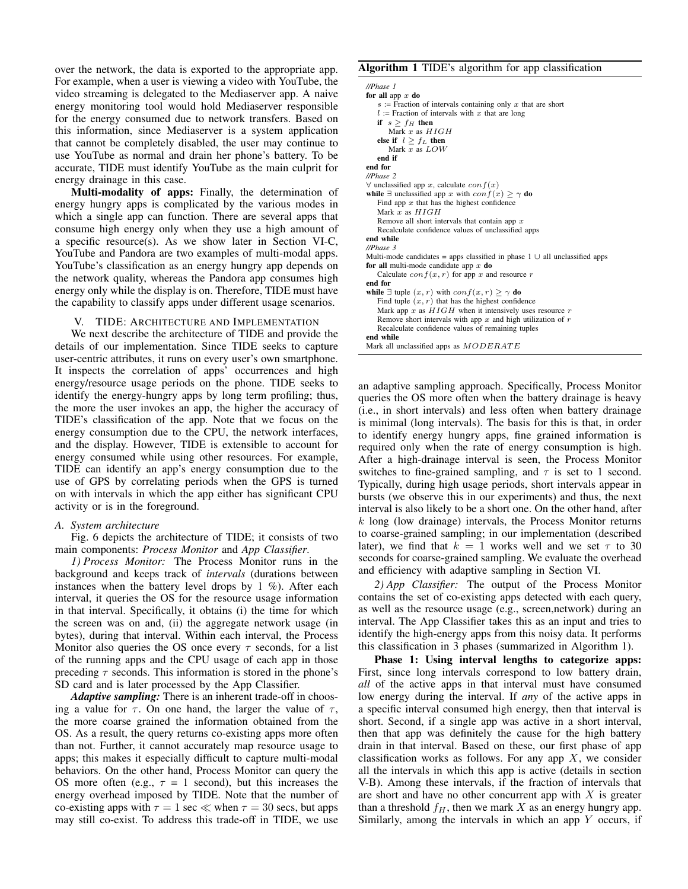over the network, the data is exported to the appropriate app. For example, when a user is viewing a video with YouTube, the video streaming is delegated to the Mediaserver app. A naive energy monitoring tool would hold Mediaserver responsible for the energy consumed due to network transfers. Based on this information, since Mediaserver is a system application that cannot be completely disabled, the user may continue to use YouTube as normal and drain her phone's battery. To be accurate, TIDE must identify YouTube as the main culprit for energy drainage in this case.

Multi-modality of apps: Finally, the determination of energy hungry apps is complicated by the various modes in which a single app can function. There are several apps that consume high energy only when they use a high amount of a specific resource(s). As we show later in Section VI-C, YouTube and Pandora are two examples of multi-modal apps. YouTube's classification as an energy hungry app depends on the network quality, whereas the Pandora app consumes high energy only while the display is on. Therefore, TIDE must have the capability to classify apps under different usage scenarios.

## V. TIDE: ARCHITECTURE AND IMPLEMENTATION

We next describe the architecture of TIDE and provide the details of our implementation. Since TIDE seeks to capture user-centric attributes, it runs on every user's own smartphone. It inspects the correlation of apps' occurrences and high energy/resource usage periods on the phone. TIDE seeks to identify the energy-hungry apps by long term profiling; thus, the more the user invokes an app, the higher the accuracy of TIDE's classification of the app. Note that we focus on the energy consumption due to the CPU, the network interfaces, and the display. However, TIDE is extensible to account for energy consumed while using other resources. For example, TIDE can identify an app's energy consumption due to the use of GPS by correlating periods when the GPS is turned on with intervals in which the app either has significant CPU activity or is in the foreground.

## *A. System architecture*

Fig. 6 depicts the architecture of TIDE; it consists of two main components: *Process Monitor* and *App Classifier*.

*1) Process Monitor:* The Process Monitor runs in the background and keeps track of *intervals* (durations between instances when the battery level drops by 1 %). After each interval, it queries the OS for the resource usage information in that interval. Specifically, it obtains (i) the time for which the screen was on and, (ii) the aggregate network usage (in bytes), during that interval. Within each interval, the Process Monitor also queries the OS once every  $\tau$  seconds, for a list of the running apps and the CPU usage of each app in those preceding  $\tau$  seconds. This information is stored in the phone's SD card and is later processed by the App Classifier.

*Adaptive sampling:* There is an inherent trade-off in choosing a value for  $\tau$ . On one hand, the larger the value of  $\tau$ , the more coarse grained the information obtained from the OS. As a result, the query returns co-existing apps more often than not. Further, it cannot accurately map resource usage to apps; this makes it especially difficult to capture multi-modal behaviors. On the other hand, Process Monitor can query the OS more often (e.g.,  $\tau = 1$  second), but this increases the energy overhead imposed by TIDE. Note that the number of co-existing apps with  $\tau = 1$  sec  $\ll$  when  $\tau = 30$  secs, but apps may still co-exist. To address this trade-off in TIDE, we use

#### Algorithm 1 TIDE's algorithm for app classification

```
//Phase 1
for all app x do
   s := Fraction of intervals containing only x that are short
   l := Fraction of intervals with x that are long
   if s \geq f_H then
      Mark x as HIGH
   else if l \geq f_L then
      Mark x as LOW
   end if
end for
//Phase 2
\forall unclassified app x, calculate conf(x)while \exists unclassified app x with conf(x) \ge \gamma do
   Find app x that has the highest confidence
   Mark x as HIGH
   Remove all short intervals that contain app x
   Recalculate confidence values of unclassified apps
end while
//Phase 3
Multi-mode candidates = apps classified in phase 1 \cup all unclassified apps
for all multi-mode candidate app x do
   Calculate conf(x, r) for app x and resource r
end for
while \exists tuple (x, r) with conf(x, r) \geq \gamma do
   Find tuple (x, r) that has the highest confidence
   Mark app x as HIGH when it intensively uses resource r
   Remove short intervals with app x and high utilization of r
   Recalculate confidence values of remaining tuples
end while
Mark all unclassified apps as MODERAT E
```
an adaptive sampling approach. Specifically, Process Monitor queries the OS more often when the battery drainage is heavy (i.e., in short intervals) and less often when battery drainage is minimal (long intervals). The basis for this is that, in order to identify energy hungry apps, fine grained information is required only when the rate of energy consumption is high. After a high-drainage interval is seen, the Process Monitor switches to fine-grained sampling, and  $\tau$  is set to 1 second. Typically, during high usage periods, short intervals appear in bursts (we observe this in our experiments) and thus, the next interval is also likely to be a short one. On the other hand, after *k* long (low drainage) intervals, the Process Monitor returns to coarse-grained sampling; in our implementation (described later), we find that  $k = 1$  works well and we set  $\tau$  to 30 seconds for coarse-grained sampling. We evaluate the overhead and efficiency with adaptive sampling in Section VI.

*2) App Classifier:* The output of the Process Monitor contains the set of co-existing apps detected with each query, as well as the resource usage (e.g., screen,network) during an interval. The App Classifier takes this as an input and tries to identify the high-energy apps from this noisy data. It performs this classification in 3 phases (summarized in Algorithm 1).

Phase 1: Using interval lengths to categorize apps: First, since long intervals correspond to low battery drain, *all* of the active apps in that interval must have consumed low energy during the interval. If *any* of the active apps in a specific interval consumed high energy, then that interval is short. Second, if a single app was active in a short interval, then that app was definitely the cause for the high battery drain in that interval. Based on these, our first phase of app classification works as follows. For any app  $X$ , we consider all the intervals in which this app is active (details in section V-B). Among these intervals, if the fraction of intervals that are short and have no other concurrent app with *X* is greater than a threshold  $f_H$ , then we mark  $X$  as an energy hungry app. Similarly, among the intervals in which an app *Y* occurs, if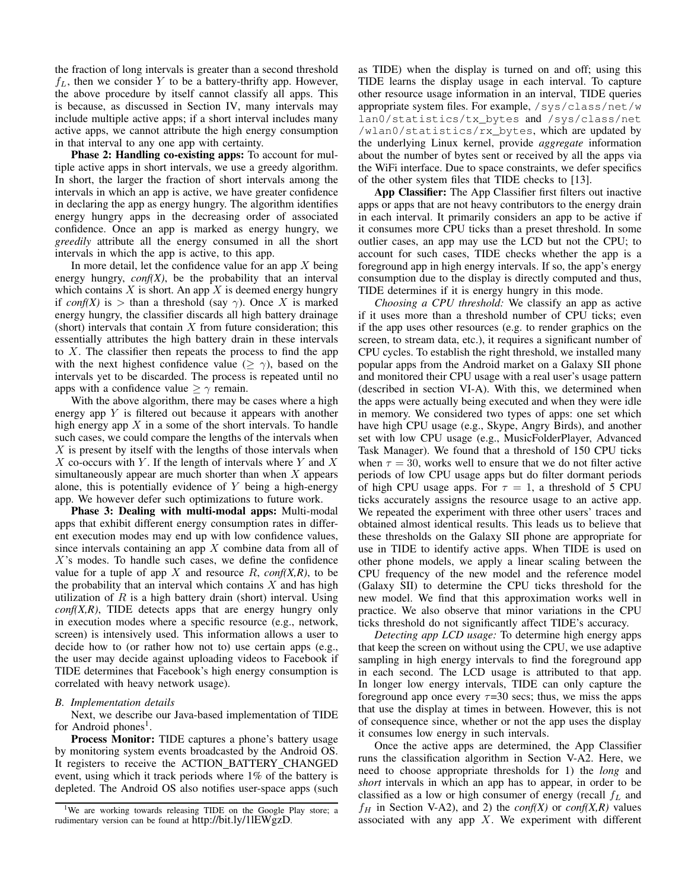the fraction of long intervals is greater than a second threshold *fL*, then we consider *Y* to be a battery-thrifty app. However, the above procedure by itself cannot classify all apps. This is because, as discussed in Section IV, many intervals may include multiple active apps; if a short interval includes many active apps, we cannot attribute the high energy consumption in that interval to any one app with certainty.

Phase 2: Handling co-existing apps: To account for multiple active apps in short intervals, we use a greedy algorithm. In short, the larger the fraction of short intervals among the intervals in which an app is active, we have greater confidence in declaring the app as energy hungry. The algorithm identifies energy hungry apps in the decreasing order of associated confidence. Once an app is marked as energy hungry, we *greedily* attribute all the energy consumed in all the short intervals in which the app is active, to this app.

In more detail, let the confidence value for an app *X* being energy hungry,  $conf(X)$ , be the probability that an interval which contains  $X$  is short. An app  $X$  is deemed energy hungry if *conf(X)* is  $>$  than a threshold (say  $\gamma$ ). Once *X* is marked energy hungry, the classifier discards all high battery drainage (short) intervals that contain *X* from future consideration; this essentially attributes the high battery drain in these intervals to *X*. The classifier then repeats the process to find the app with the next highest confidence value  $(\geq \gamma)$ , based on the intervals yet to be discarded. The process is repeated until no apps with a confidence value  $\geq \gamma$  remain.

With the above algorithm, there may be cases where a high energy app *Y* is filtered out because it appears with another high energy app *X* in a some of the short intervals. To handle such cases, we could compare the lengths of the intervals when *X* is present by itself with the lengths of those intervals when *X* co-occurs with *Y* . If the length of intervals where *Y* and *X* simultaneously appear are much shorter than when *X* appears alone, this is potentially evidence of *Y* being a high-energy app. We however defer such optimizations to future work.

Phase 3: Dealing with multi-modal apps: Multi-modal apps that exhibit different energy consumption rates in different execution modes may end up with low confidence values, since intervals containing an app *X* combine data from all of *X*'s modes. To handle such cases, we define the confidence value for a tuple of app  $X$  and resource  $R$ ,  $\text{conf}(X,R)$ , to be the probability that an interval which contains *X* and has high utilization of *R* is a high battery drain (short) interval. Using  $conf(X,R)$ , TIDE detects apps that are energy hungry only in execution modes where a specific resource (e.g., network, screen) is intensively used. This information allows a user to decide how to (or rather how not to) use certain apps (e.g., the user may decide against uploading videos to Facebook if TIDE determines that Facebook's high energy consumption is correlated with heavy network usage).

## *B. Implementation details*

Next, we describe our Java-based implementation of TIDE for Android phones<sup>1</sup>.

Process Monitor: TIDE captures a phone's battery usage by monitoring system events broadcasted by the Android OS. It registers to receive the ACTION\_BATTERY\_CHANGED event, using which it track periods where 1% of the battery is depleted. The Android OS also notifies user-space apps (such as TIDE) when the display is turned on and off; using this TIDE learns the display usage in each interval. To capture other resource usage information in an interval, TIDE queries appropriate system files. For example, /sys/class/net/w lan0/statistics/tx bytes and /sys/class/net /wlan0/statistics/rx\_bytes, which are updated by the underlying Linux kernel, provide *aggregate* information about the number of bytes sent or received by all the apps via the WiFi interface. Due to space constraints, we defer specifics of the other system files that TIDE checks to [13].

App Classifier: The App Classifier first filters out inactive apps or apps that are not heavy contributors to the energy drain in each interval. It primarily considers an app to be active if it consumes more CPU ticks than a preset threshold. In some outlier cases, an app may use the LCD but not the CPU; to account for such cases, TIDE checks whether the app is a foreground app in high energy intervals. If so, the app's energy consumption due to the display is directly computed and thus, TIDE determines if it is energy hungry in this mode.

*Choosing a CPU threshold:* We classify an app as active if it uses more than a threshold number of CPU ticks; even if the app uses other resources (e.g. to render graphics on the screen, to stream data, etc.), it requires a significant number of CPU cycles. To establish the right threshold, we installed many popular apps from the Android market on a Galaxy SII phone and monitored their CPU usage with a real user's usage pattern (described in section VI-A). With this, we determined when the apps were actually being executed and when they were idle in memory. We considered two types of apps: one set which have high CPU usage (e.g., Skype, Angry Birds), and another set with low CPU usage (e.g., MusicFolderPlayer, Advanced Task Manager). We found that a threshold of 150 CPU ticks when  $\tau = 30$ , works well to ensure that we do not filter active periods of low CPU usage apps but do filter dormant periods of high CPU usage apps. For  $\tau = 1$ , a threshold of 5 CPU ticks accurately assigns the resource usage to an active app. We repeated the experiment with three other users' traces and obtained almost identical results. This leads us to believe that these thresholds on the Galaxy SII phone are appropriate for use in TIDE to identify active apps. When TIDE is used on other phone models, we apply a linear scaling between the CPU frequency of the new model and the reference model (Galaxy SII) to determine the CPU ticks threshold for the new model. We find that this approximation works well in practice. We also observe that minor variations in the CPU ticks threshold do not significantly affect TIDE's accuracy.

*Detecting app LCD usage:* To determine high energy apps that keep the screen on without using the CPU, we use adaptive sampling in high energy intervals to find the foreground app in each second. The LCD usage is attributed to that app. In longer low energy intervals, TIDE can only capture the foreground app once every  $\tau=30$  secs; thus, we miss the apps that use the display at times in between. However, this is not of consequence since, whether or not the app uses the display it consumes low energy in such intervals.

Once the active apps are determined, the App Classifier runs the classification algorithm in Section V-A2. Here, we need to choose appropriate thresholds for 1) the *long* and *short* intervals in which an app has to appear, in order to be classified as a low or high consumer of energy (recall *f<sup>L</sup>* and  $f_H$  in Section V-A2), and 2) the *conf(X)* or *conf(X,R)* values associated with any app *X*. We experiment with different

<sup>&</sup>lt;sup>1</sup>We are working towards releasing TIDE on the Google Play store; a rudimentary version can be found at http://bit*.*ly/1lEWgzD.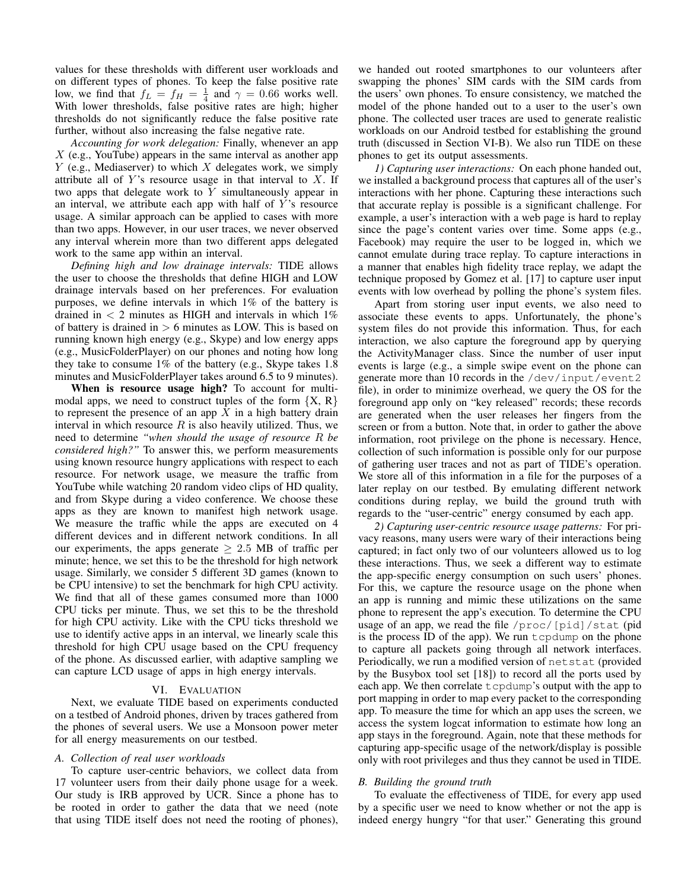values for these thresholds with different user workloads and on different types of phones. To keep the false positive rate low, we find that  $f_L = f_H = \frac{1}{4}$  and  $\gamma = 0.66$  works well. With lower thresholds, false positive rates are high; higher thresholds do not significantly reduce the false positive rate further, without also increasing the false negative rate.

*Accounting for work delegation:* Finally, whenever an app *X* (e.g., YouTube) appears in the same interval as another app *Y* (e.g., Mediaserver) to which *X* delegates work, we simply attribute all of *Y* 's resource usage in that interval to *X*. If two apps that delegate work to *Y* simultaneously appear in an interval, we attribute each app with half of *Y* 's resource usage. A similar approach can be applied to cases with more than two apps. However, in our user traces, we never observed any interval wherein more than two different apps delegated work to the same app within an interval.

*Defining high and low drainage intervals:* TIDE allows the user to choose the thresholds that define HIGH and LOW drainage intervals based on her preferences. For evaluation purposes, we define intervals in which 1% of the battery is drained in *<* 2 minutes as HIGH and intervals in which 1% of battery is drained in *>* 6 minutes as LOW. This is based on running known high energy (e.g., Skype) and low energy apps (e.g., MusicFolderPlayer) on our phones and noting how long they take to consume 1% of the battery (e.g., Skype takes 1.8 minutes and MusicFolderPlayer takes around 6.5 to 9 minutes).

When is resource usage high? To account for multimodal apps, we need to construct tuples of the form *{*X, R*}* to represent the presence of an app *X* in a high battery drain interval in which resource  $R$  is also heavily utilized. Thus, we need to determine *"when should the usage of resource R be considered high?"* To answer this, we perform measurements using known resource hungry applications with respect to each resource. For network usage, we measure the traffic from YouTube while watching 20 random video clips of HD quality, and from Skype during a video conference. We choose these apps as they are known to manifest high network usage. We measure the traffic while the apps are executed on 4 different devices and in different network conditions. In all our experiments, the apps generate  $\geq 2.5$  MB of traffic per minute; hence, we set this to be the threshold for high network usage. Similarly, we consider 5 different 3D games (known to be CPU intensive) to set the benchmark for high CPU activity. We find that all of these games consumed more than 1000 CPU ticks per minute. Thus, we set this to be the threshold for high CPU activity. Like with the CPU ticks threshold we use to identify active apps in an interval, we linearly scale this threshold for high CPU usage based on the CPU frequency of the phone. As discussed earlier, with adaptive sampling we can capture LCD usage of apps in high energy intervals.

## VI. EVALUATION

Next, we evaluate TIDE based on experiments conducted on a testbed of Android phones, driven by traces gathered from the phones of several users. We use a Monsoon power meter for all energy measurements on our testbed.

## *A. Collection of real user workloads*

To capture user-centric behaviors, we collect data from 17 volunteer users from their daily phone usage for a week. Our study is IRB approved by UCR. Since a phone has to be rooted in order to gather the data that we need (note that using TIDE itself does not need the rooting of phones),

we handed out rooted smartphones to our volunteers after swapping the phones' SIM cards with the SIM cards from the users' own phones. To ensure consistency, we matched the model of the phone handed out to a user to the user's own phone. The collected user traces are used to generate realistic workloads on our Android testbed for establishing the ground truth (discussed in Section VI-B). We also run TIDE on these phones to get its output assessments.

*1) Capturing user interactions:* On each phone handed out, we installed a background process that captures all of the user's interactions with her phone. Capturing these interactions such that accurate replay is possible is a significant challenge. For example, a user's interaction with a web page is hard to replay since the page's content varies over time. Some apps (e.g., Facebook) may require the user to be logged in, which we cannot emulate during trace replay. To capture interactions in a manner that enables high fidelity trace replay, we adapt the technique proposed by Gomez et al. [17] to capture user input events with low overhead by polling the phone's system files.

Apart from storing user input events, we also need to associate these events to apps. Unfortunately, the phone's system files do not provide this information. Thus, for each interaction, we also capture the foreground app by querying the ActivityManager class. Since the number of user input events is large (e.g., a simple swipe event on the phone can generate more than 10 records in the /dev/input/event2 file), in order to minimize overhead, we query the OS for the foreground app only on "key released" records; these records are generated when the user releases her fingers from the screen or from a button. Note that, in order to gather the above information, root privilege on the phone is necessary. Hence, collection of such information is possible only for our purpose of gathering user traces and not as part of TIDE's operation. We store all of this information in a file for the purposes of a later replay on our testbed. By emulating different network conditions during replay, we build the ground truth with regards to the "user-centric" energy consumed by each app.

*2) Capturing user-centric resource usage patterns:* For privacy reasons, many users were wary of their interactions being captured; in fact only two of our volunteers allowed us to log these interactions. Thus, we seek a different way to estimate the app-specific energy consumption on such users' phones. For this, we capture the resource usage on the phone when an app is running and mimic these utilizations on the same phone to represent the app's execution. To determine the CPU usage of an app, we read the file /proc/[pid]/stat (pid is the process ID of the app). We run tcpdump on the phone to capture all packets going through all network interfaces. Periodically, we run a modified version of netstat (provided by the Busybox tool set [18]) to record all the ports used by each app. We then correlate  $t$  cpdump's output with the app to port mapping in order to map every packet to the corresponding app. To measure the time for which an app uses the screen, we access the system logcat information to estimate how long an app stays in the foreground. Again, note that these methods for capturing app-specific usage of the network/display is possible only with root privileges and thus they cannot be used in TIDE.

## *B. Building the ground truth*

To evaluate the effectiveness of TIDE, for every app used by a specific user we need to know whether or not the app is indeed energy hungry "for that user." Generating this ground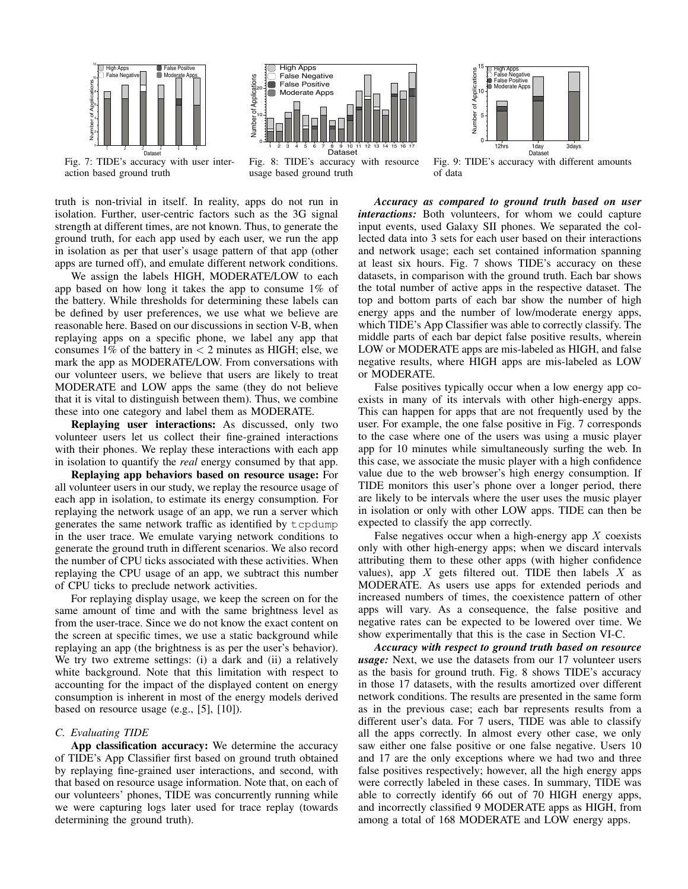

Fig. 7: TIDE's accuracy with user interaction based ground truth



Fig. 8: TIDE's accuracy with resource usage based ground truth



Fig. 9: TIDE's accuracy with different amounts of data

truth is non-trivial in itself. In reality, apps do not run in isolation. Further, user-centric factors such as the 3G signal strength at different times, are not known. Thus, to generate the ground truth, for each app used by each user, we run the app in isolation as per that user's usage pattern of that app (other apps are turned off), and emulate different network conditions.

We assign the labels HIGH, MODERATE/LOW to each app based on how long it takes the app to consume 1% of the battery. While thresholds for determining these labels can be defined by user preferences, we use what we believe are reasonable here. Based on our discussions in section V-B, when replaying apps on a specific phone, we label any app that consumes 1% of the battery in *<* 2 minutes as HIGH; else, we mark the app as MODERATE/LOW. From conversations with our volunteer users, we believe that users are likely to treat MODERATE and LOW apps the same (they do not believe that it is vital to distinguish between them). Thus, we combine these into one category and label them as MODERATE.

Replaying user interactions: As discussed, only two volunteer users let us collect their fine-grained interactions with their phones. We replay these interactions with each app in isolation to quantify the *real* energy consumed by that app.

Replaying app behaviors based on resource usage: For all volunteer users in our study, we replay the resource usage of each app in isolation, to estimate its energy consumption. For replaying the network usage of an app, we run a server which generates the same network traffic as identified by tcpdump in the user trace. We emulate varying network conditions to generate the ground truth in different scenarios. We also record the number of CPU ticks associated with these activities. When replaying the CPU usage of an app, we subtract this number of CPU ticks to preclude network activities.

For replaying display usage, we keep the screen on for the same amount of time and with the same brightness level as from the user-trace. Since we do not know the exact content on the screen at specific times, we use a static background while replaying an app (the brightness is as per the user's behavior). We try two extreme settings: (i) a dark and (ii) a relatively white background. Note that this limitation with respect to accounting for the impact of the displayed content on energy consumption is inherent in most of the energy models derived based on resource usage (e.g., [5], [10]).

## *C. Evaluating TIDE*

App classification accuracy: We determine the accuracy of TIDE's App Classifier first based on ground truth obtained by replaying fine-grained user interactions, and second, with that based on resource usage information. Note that, on each of our volunteers' phones, TIDE was concurrently running while we were capturing logs later used for trace replay (towards determining the ground truth).

*Accuracy as compared to ground truth based on user interactions:* Both volunteers, for whom we could capture input events, used Galaxy SII phones. We separated the collected data into 3 sets for each user based on their interactions and network usage; each set contained information spanning at least six hours. Fig. 7 shows TIDE's accuracy on these datasets, in comparison with the ground truth. Each bar shows the total number of active apps in the respective dataset. The top and bottom parts of each bar show the number of high energy apps and the number of low/moderate energy apps, which TIDE's App Classifier was able to correctly classify. The middle parts of each bar depict false positive results, wherein LOW or MODERATE apps are mis-labeled as HIGH, and false negative results, where HIGH apps are mis-labeled as LOW or MODERATE.

False positives typically occur when a low energy app coexists in many of its intervals with other high-energy apps. This can happen for apps that are not frequently used by the user. For example, the one false positive in Fig. 7 corresponds to the case where one of the users was using a music player app for 10 minutes while simultaneously surfing the web. In this case, we associate the music player with a high confidence value due to the web browser's high energy consumption. If TIDE monitors this user's phone over a longer period, there are likely to be intervals where the user uses the music player in isolation or only with other LOW apps. TIDE can then be expected to classify the app correctly.

False negatives occur when a high-energy app *X* coexists only with other high-energy apps; when we discard intervals attributing them to these other apps (with higher confidence values), app *X* gets filtered out. TIDE then labels *X* as MODERATE. As users use apps for extended periods and increased numbers of times, the coexistence pattern of other apps will vary. As a consequence, the false positive and negative rates can be expected to be lowered over time. We show experimentally that this is the case in Section VI-C.

*Accuracy with respect to ground truth based on resource usage:* Next, we use the datasets from our 17 volunteer users as the basis for ground truth. Fig. 8 shows TIDE's accuracy in those 17 datasets, with the results amortized over different network conditions. The results are presented in the same form as in the previous case; each bar represents results from a different user's data. For 7 users, TIDE was able to classify all the apps correctly. In almost every other case, we only saw either one false positive or one false negative. Users 10 and 17 are the only exceptions where we had two and three false positives respectively; however, all the high energy apps were correctly labeled in these cases. In summary, TIDE was able to correctly identify 66 out of 70 HIGH energy apps, and incorrectly classified 9 MODERATE apps as HIGH, from among a total of 168 MODERATE and LOW energy apps.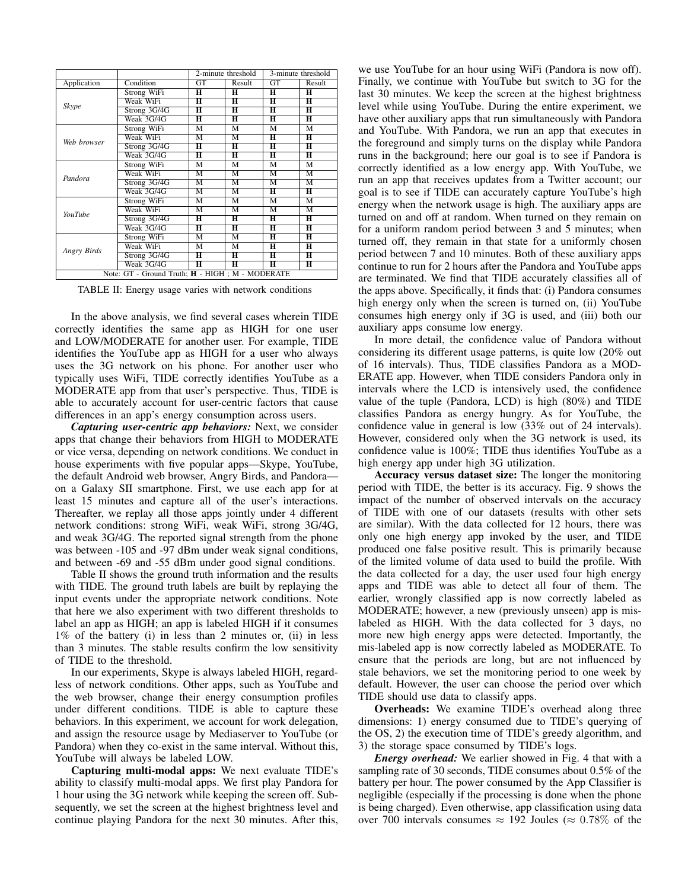|                                                 |              | 2-minute threshold      |                         | 3-minute threshold      |                         |
|-------------------------------------------------|--------------|-------------------------|-------------------------|-------------------------|-------------------------|
| Application                                     | Condition    | <b>GT</b>               | Result                  | <b>GT</b>               | Result                  |
| Skype                                           | Strong WiFi  | H                       | H                       | $\overline{\mathbf{H}}$ | H                       |
|                                                 | Weak WiFi    | н                       | $\overline{\mathbf{H}}$ | $\overline{\mathbf{H}}$ | $\overline{\mathbf{H}}$ |
|                                                 | Strong 3G/4G | $\overline{\mathbf{H}}$ | $\overline{\mathbf{H}}$ | $\overline{\mathbf{H}}$ | н                       |
|                                                 | Weak 3G/4G   | $\overline{\mathbf{H}}$ | $\overline{\mathbf{H}}$ | $\overline{\mathbf{H}}$ | $\overline{\mathbf{H}}$ |
| Web browser                                     | Strong WiFi  | M                       | M                       | M                       | M                       |
|                                                 | Weak WiFi    | М                       | м                       | $\overline{\mathbf{H}}$ | н                       |
|                                                 | Strong 3G/4G | н                       | н                       | $\overline{\mathbf{H}}$ | $\overline{\mathbf{H}}$ |
|                                                 | Weak 3G/4G   | $\overline{\mathbf{H}}$ | $\overline{\mathbf{H}}$ | $\overline{\mathbf{H}}$ | $\overline{\mathbf{H}}$ |
| Pandora                                         | Strong WiFi  | M                       | M                       | M                       | M                       |
|                                                 | Weak WiFi    | М                       | м                       | $\overline{\mathrm{M}}$ | м                       |
|                                                 | Strong 3G/4G | М                       | м                       | м                       | М                       |
|                                                 | Weak 3G/4G   | М                       | М                       | н                       | н                       |
| <b>YouTube</b>                                  | Strong WiFi  | М                       | М                       | М                       | M                       |
|                                                 | Weak WiFi    | $\overline{\rm M}$      | м                       | $\overline{\mathrm{M}}$ | м                       |
|                                                 | Strong 3G/4G | $\overline{\mathbf{H}}$ | $\overline{\mathbf{H}}$ | $\overline{\mathbf{H}}$ | $\overline{\mathbf{H}}$ |
|                                                 | Weak 3G/4G   | Н                       | н                       | н                       | н                       |
| Angry Birds                                     | Strong WiFi  | M                       | M                       | $\overline{\mathbf{H}}$ | $\overline{\mathbf{H}}$ |
|                                                 | Weak WiFi    | М                       | М                       | $\overline{\mathbf{H}}$ | $\overline{\mathbf{H}}$ |
|                                                 | Strong 3G/4G | $\overline{\mathbf{H}}$ | $\overline{\mathbf{H}}$ | $\overline{\mathbf{H}}$ | $\overline{\mathbf{H}}$ |
|                                                 | Weak 3G/4G   | н                       | н                       | н                       | н                       |
| Note: GT - Ground Truth; H - HIGH; M - MODERATE |              |                         |                         |                         |                         |

TABLE II: Energy usage varies with network conditions

In the above analysis, we find several cases wherein TIDE correctly identifies the same app as HIGH for one user and LOW/MODERATE for another user. For example, TIDE identifies the YouTube app as HIGH for a user who always uses the 3G network on his phone. For another user who typically uses WiFi, TIDE correctly identifies YouTube as a MODERATE app from that user's perspective. Thus, TIDE is able to accurately account for user-centric factors that cause differences in an app's energy consumption across users.

*Capturing user-centric app behaviors:* Next, we consider apps that change their behaviors from HIGH to MODERATE or vice versa, depending on network conditions. We conduct in house experiments with five popular apps—Skype, YouTube, the default Android web browser, Angry Birds, and Pandora on a Galaxy SII smartphone. First, we use each app for at least 15 minutes and capture all of the user's interactions. Thereafter, we replay all those apps jointly under 4 different network conditions: strong WiFi, weak WiFi, strong 3G/4G, and weak 3G/4G. The reported signal strength from the phone was between -105 and -97 dBm under weak signal conditions, and between -69 and -55 dBm under good signal conditions.

Table II shows the ground truth information and the results with TIDE. The ground truth labels are built by replaying the input events under the appropriate network conditions. Note that here we also experiment with two different thresholds to label an app as HIGH; an app is labeled HIGH if it consumes 1% of the battery (i) in less than 2 minutes or, (ii) in less than 3 minutes. The stable results confirm the low sensitivity of TIDE to the threshold.

In our experiments, Skype is always labeled HIGH, regardless of network conditions. Other apps, such as YouTube and the web browser, change their energy consumption profiles under different conditions. TIDE is able to capture these behaviors. In this experiment, we account for work delegation, and assign the resource usage by Mediaserver to YouTube (or Pandora) when they co-exist in the same interval. Without this, YouTube will always be labeled LOW.

Capturing multi-modal apps: We next evaluate TIDE's ability to classify multi-modal apps. We first play Pandora for 1 hour using the 3G network while keeping the screen off. Subsequently, we set the screen at the highest brightness level and continue playing Pandora for the next 30 minutes. After this, we use YouTube for an hour using WiFi (Pandora is now off). Finally, we continue with YouTube but switch to 3G for the last 30 minutes. We keep the screen at the highest brightness level while using YouTube. During the entire experiment, we have other auxiliary apps that run simultaneously with Pandora and YouTube. With Pandora, we run an app that executes in the foreground and simply turns on the display while Pandora runs in the background; here our goal is to see if Pandora is correctly identified as a low energy app. With YouTube, we run an app that receives updates from a Twitter account; our goal is to see if TIDE can accurately capture YouTube's high energy when the network usage is high. The auxiliary apps are turned on and off at random. When turned on they remain on for a uniform random period between 3 and 5 minutes; when turned off, they remain in that state for a uniformly chosen period between 7 and 10 minutes. Both of these auxiliary apps continue to run for 2 hours after the Pandora and YouTube apps are terminated. We find that TIDE accurately classifies all of the apps above. Specifically, it finds that: (i) Pandora consumes high energy only when the screen is turned on, (ii) YouTube consumes high energy only if 3G is used, and (iii) both our auxiliary apps consume low energy.

In more detail, the confidence value of Pandora without considering its different usage patterns, is quite low (20% out of 16 intervals). Thus, TIDE classifies Pandora as a MOD-ERATE app. However, when TIDE considers Pandora only in intervals where the LCD is intensively used, the confidence value of the tuple (Pandora, LCD) is high (80%) and TIDE classifies Pandora as energy hungry. As for YouTube, the confidence value in general is low (33% out of 24 intervals). However, considered only when the 3G network is used, its confidence value is 100%; TIDE thus identifies YouTube as a high energy app under high 3G utilization.

Accuracy versus dataset size: The longer the monitoring period with TIDE, the better is its accuracy. Fig. 9 shows the impact of the number of observed intervals on the accuracy of TIDE with one of our datasets (results with other sets are similar). With the data collected for 12 hours, there was only one high energy app invoked by the user, and TIDE produced one false positive result. This is primarily because of the limited volume of data used to build the profile. With the data collected for a day, the user used four high energy apps and TIDE was able to detect all four of them. The earlier, wrongly classified app is now correctly labeled as MODERATE; however, a new (previously unseen) app is mislabeled as HIGH. With the data collected for 3 days, no more new high energy apps were detected. Importantly, the mis-labeled app is now correctly labeled as MODERATE. To ensure that the periods are long, but are not influenced by stale behaviors, we set the monitoring period to one week by default. However, the user can choose the period over which TIDE should use data to classify apps.

Overheads: We examine TIDE's overhead along three dimensions: 1) energy consumed due to TIDE's querying of the OS, 2) the execution time of TIDE's greedy algorithm, and 3) the storage space consumed by TIDE's logs.

*Energy overhead:* We earlier showed in Fig. 4 that with a sampling rate of 30 seconds, TIDE consumes about 0.5% of the battery per hour. The power consumed by the App Classifier is negligible (especially if the processing is done when the phone is being charged). Even otherwise, app classification using data over 700 intervals consumes  $\approx$  192 Joules ( $\approx$  0.78% of the